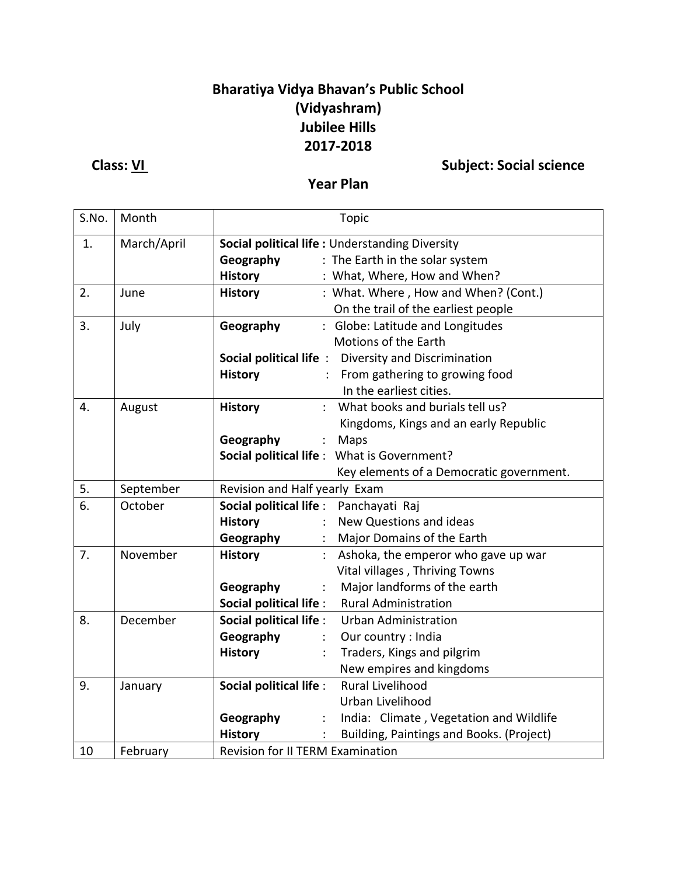## **Bharatiya Vidya Bhavan's Public School (Vidyashram) Jubilee Hills 2017-2018**

**Class:** <u>VI</u> **Class:**  $\frac{V}{V}$  **Subject: Social science** 

### **Year Plan**

| S.No. | Month       | Topic                                                      |  |  |
|-------|-------------|------------------------------------------------------------|--|--|
| 1.    | March/April | Social political life: Understanding Diversity             |  |  |
|       |             | : The Earth in the solar system<br>Geography               |  |  |
|       |             | <b>History</b><br>: What, Where, How and When?             |  |  |
| 2.    | June        | : What. Where, How and When? (Cont.)<br><b>History</b>     |  |  |
|       |             | On the trail of the earliest people                        |  |  |
| 3.    | July        | : Globe: Latitude and Longitudes<br>Geography              |  |  |
|       |             | Motions of the Earth                                       |  |  |
|       |             | Social political life: Diversity and Discrimination        |  |  |
|       |             | : From gathering to growing food<br><b>History</b>         |  |  |
|       |             | In the earliest cities.                                    |  |  |
| 4.    | August      | What books and burials tell us?<br><b>History</b>          |  |  |
|       |             | Kingdoms, Kings and an early Republic                      |  |  |
|       |             | Geography<br>Maps<br>$\mathbb{Z}^{\mathbb{Z}}$             |  |  |
|       |             | Social political life : What is Government?                |  |  |
|       |             | Key elements of a Democratic government.                   |  |  |
| 5.    | September   | Revision and Half yearly Exam                              |  |  |
| 6.    | October     | Social political life :<br>Panchayati Raj                  |  |  |
|       |             | New Questions and ideas<br><b>History</b>                  |  |  |
|       |             | Geography<br>Major Domains of the Earth                    |  |  |
| 7.    | November    | <b>History</b><br>Ashoka, the emperor who gave up war      |  |  |
|       |             | Vital villages, Thriving Towns                             |  |  |
|       |             | Major landforms of the earth<br>Geography<br>÷             |  |  |
|       |             | Social political life :<br><b>Rural Administration</b>     |  |  |
| 8.    | December    | Social political life :<br><b>Urban Administration</b>     |  |  |
|       |             | Geography<br>Our country : India                           |  |  |
|       |             | Traders, Kings and pilgrim<br><b>History</b>               |  |  |
|       |             | New empires and kingdoms                                   |  |  |
| 9.    | January     | <b>Rural Livelihood</b><br><b>Social political life:</b>   |  |  |
|       |             | Urban Livelihood                                           |  |  |
|       |             | Geography<br>India: Climate, Vegetation and Wildlife<br>÷  |  |  |
|       |             | <b>History</b><br>Building, Paintings and Books. (Project) |  |  |
| 10    | February    | <b>Revision for II TERM Examination</b>                    |  |  |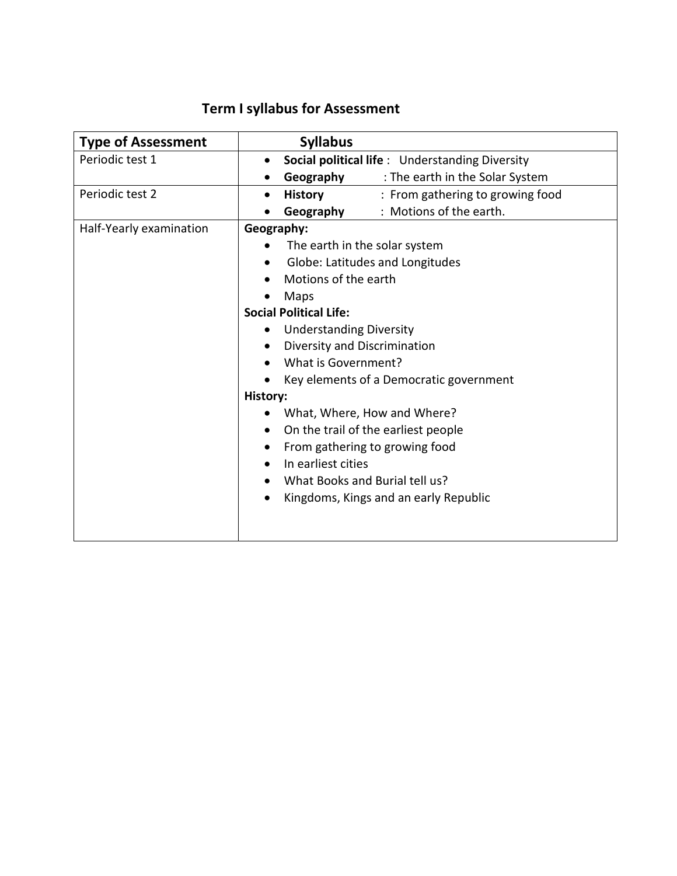# **Term I syllabus for Assessment**

| <b>Type of Assessment</b> | <b>Syllabus</b>                                                 |  |  |
|---------------------------|-----------------------------------------------------------------|--|--|
| Periodic test 1           | <b>Social political life:</b> Understanding Diversity           |  |  |
|                           | Geography<br>: The earth in the Solar System                    |  |  |
| Periodic test 2           | <b>History</b><br>: From gathering to growing food<br>$\bullet$ |  |  |
|                           | : Motions of the earth.<br>Geography                            |  |  |
| Half-Yearly examination   | Geography:                                                      |  |  |
|                           | The earth in the solar system                                   |  |  |
|                           | Globe: Latitudes and Longitudes                                 |  |  |
|                           | Motions of the earth                                            |  |  |
|                           | Maps                                                            |  |  |
|                           | <b>Social Political Life:</b>                                   |  |  |
|                           | <b>Understanding Diversity</b>                                  |  |  |
|                           | Diversity and Discrimination                                    |  |  |
|                           | What is Government?                                             |  |  |
|                           | Key elements of a Democratic government                         |  |  |
|                           | History:                                                        |  |  |
|                           | What, Where, How and Where?                                     |  |  |
|                           | On the trail of the earliest people                             |  |  |
|                           | From gathering to growing food                                  |  |  |
|                           | In earliest cities                                              |  |  |
|                           | What Books and Burial tell us?                                  |  |  |
|                           | Kingdoms, Kings and an early Republic                           |  |  |
|                           |                                                                 |  |  |
|                           |                                                                 |  |  |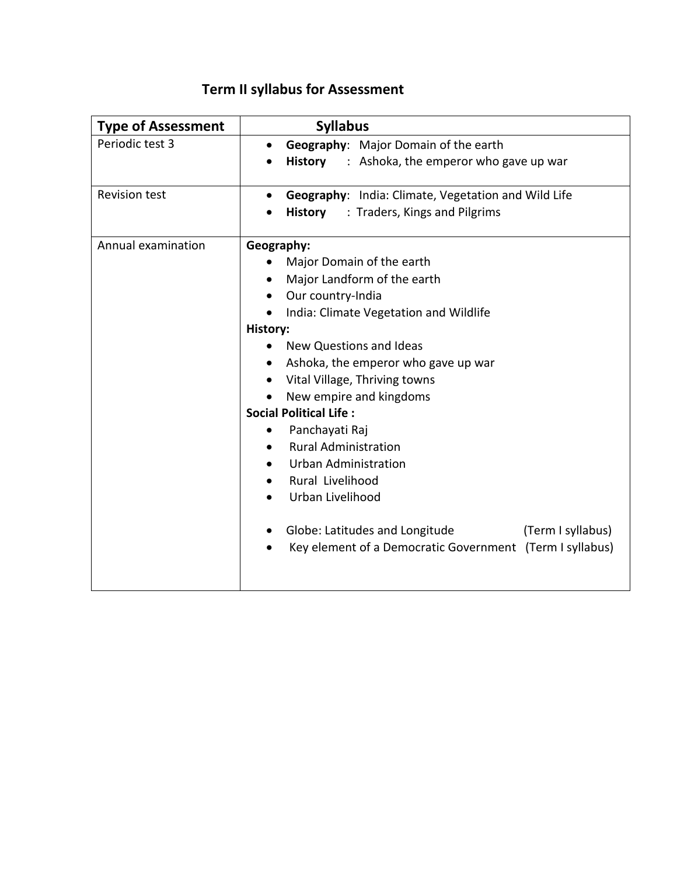|  |  | <b>Term II syllabus for Assessment</b> |
|--|--|----------------------------------------|
|--|--|----------------------------------------|

| <b>Type of Assessment</b> | <b>Syllabus</b>                                                  |
|---------------------------|------------------------------------------------------------------|
| Periodic test 3           | Geography: Major Domain of the earth                             |
|                           | <b>History</b><br>: Ashoka, the emperor who gave up war          |
| <b>Revision test</b>      | Geography: India: Climate, Vegetation and Wild Life<br>$\bullet$ |
|                           | : Traders, Kings and Pilgrims<br><b>History</b>                  |
| Annual examination        | Geography:                                                       |
|                           | Major Domain of the earth                                        |
|                           | Major Landform of the earth                                      |
|                           | Our country-India<br>٠                                           |
|                           | India: Climate Vegetation and Wildlife                           |
|                           | History:                                                         |
|                           | New Questions and Ideas                                          |
|                           | Ashoka, the emperor who gave up war                              |
|                           | Vital Village, Thriving towns<br>$\bullet$                       |
|                           | New empire and kingdoms                                          |
|                           | <b>Social Political Life:</b>                                    |
|                           | Panchayati Raj                                                   |
|                           | <b>Rural Administration</b>                                      |
|                           | <b>Urban Administration</b>                                      |
|                           | Rural Livelihood                                                 |
|                           | Urban Livelihood                                                 |
|                           | Globe: Latitudes and Longitude<br>(Term I syllabus)              |
|                           | Key element of a Democratic Government (Term I syllabus)         |
|                           |                                                                  |